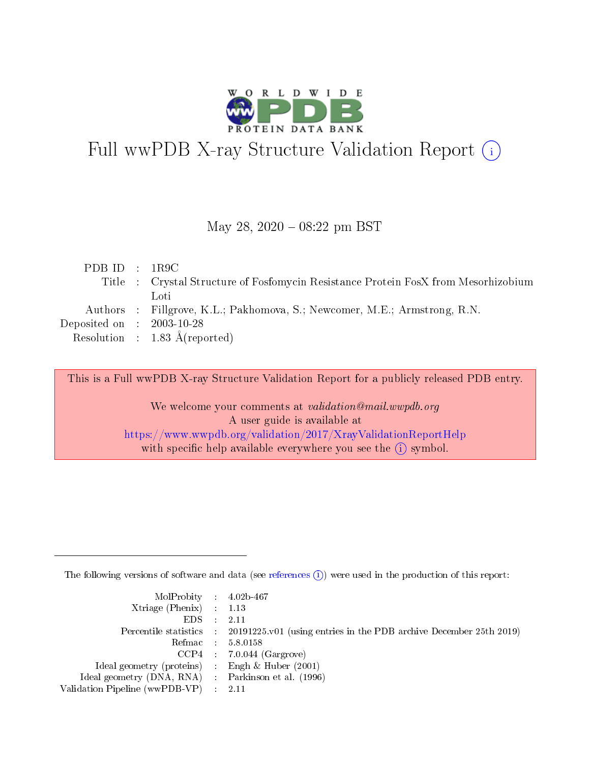

# Full wwPDB X-ray Structure Validation Report (i)

#### May 28, 2020 - 08:22 pm BST

| PDBID : IR9C                         |                                                                                    |
|--------------------------------------|------------------------------------------------------------------------------------|
|                                      | Title : Crystal Structure of Fosfomycin Resistance Protein FosX from Mesorhizobium |
|                                      | Loti                                                                               |
|                                      | Authors : Fillgrove, K.L.; Pakhomova, S.; Newcomer, M.E.; Armstrong, R.N.          |
| Deposited on $\therefore$ 2003-10-28 |                                                                                    |
|                                      | Resolution : $1.83 \text{ Å}$ (reported)                                           |

This is a Full wwPDB X-ray Structure Validation Report for a publicly released PDB entry.

We welcome your comments at validation@mail.wwpdb.org A user guide is available at <https://www.wwpdb.org/validation/2017/XrayValidationReportHelp> with specific help available everywhere you see the  $(i)$  symbol.

The following versions of software and data (see [references](https://www.wwpdb.org/validation/2017/XrayValidationReportHelp#references)  $(i)$ ) were used in the production of this report:

| $MolProbability$ 4.02b-467                          |                                                                                            |
|-----------------------------------------------------|--------------------------------------------------------------------------------------------|
| Xtriage (Phenix) $: 1.13$                           |                                                                                            |
| $EDS$ :                                             | -2.11                                                                                      |
|                                                     | Percentile statistics : 20191225.v01 (using entries in the PDB archive December 25th 2019) |
|                                                     | Refmac : 5.8.0158                                                                          |
|                                                     | $CCP4$ : 7.0.044 (Gargrove)                                                                |
| Ideal geometry (proteins) : Engh $\&$ Huber (2001)  |                                                                                            |
| Ideal geometry (DNA, RNA) : Parkinson et al. (1996) |                                                                                            |
| Validation Pipeline (wwPDB-VP)                      | -2.11                                                                                      |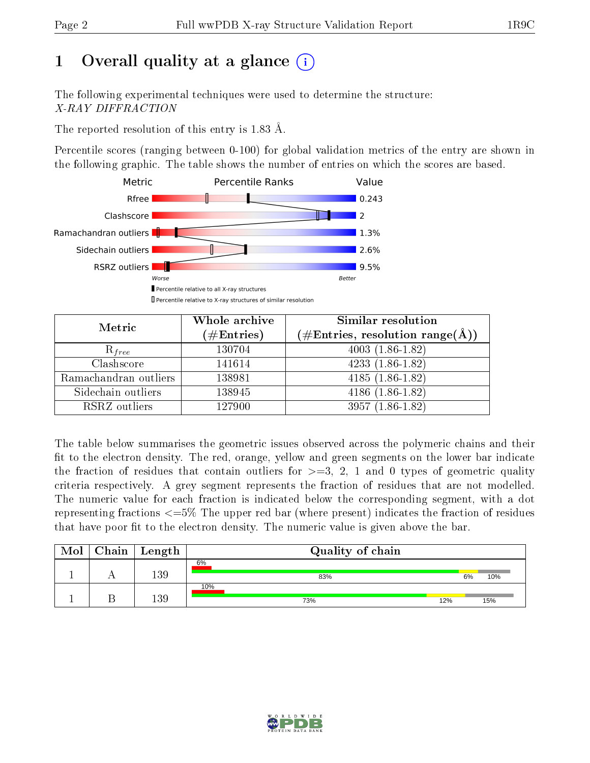# 1 [O](https://www.wwpdb.org/validation/2017/XrayValidationReportHelp#overall_quality)verall quality at a glance  $(i)$

The following experimental techniques were used to determine the structure: X-RAY DIFFRACTION

The reported resolution of this entry is 1.83 Å.

Percentile scores (ranging between 0-100) for global validation metrics of the entry are shown in the following graphic. The table shows the number of entries on which the scores are based.



| Metric                | Whole archive<br>$(\#\mathrm{Entries})$ | Similar resolution<br>$(\#\text{Entries},\, \text{resolution}\; \text{range}(\textup{\AA}))$ |  |  |
|-----------------------|-----------------------------------------|----------------------------------------------------------------------------------------------|--|--|
| $R_{free}$            | 130704                                  | $4003(1.86-1.82)$                                                                            |  |  |
| Clashscore            | 141614                                  | $4233(1.86-1.82)$                                                                            |  |  |
| Ramachandran outliers | 138981                                  | $4185(1.86-1.82)$                                                                            |  |  |
| Sidechain outliers    | 138945                                  | $4186(1.86-1.82)$                                                                            |  |  |
| RSRZ outliers         | 127900                                  | $3957(1.86-1.82)$                                                                            |  |  |

The table below summarises the geometric issues observed across the polymeric chains and their fit to the electron density. The red, orange, yellow and green segments on the lower bar indicate the fraction of residues that contain outliers for  $>=3, 2, 1$  and 0 types of geometric quality criteria respectively. A grey segment represents the fraction of residues that are not modelled. The numeric value for each fraction is indicated below the corresponding segment, with a dot representing fractions <=5% The upper red bar (where present) indicates the fraction of residues that have poor fit to the electron density. The numeric value is given above the bar.

| Mol | $\mid$ Chain $\mid$ Length $\mid$ | Quality of chain |     |    |     |  |  |
|-----|-----------------------------------|------------------|-----|----|-----|--|--|
|     | 139                               | 6%<br>83%        |     | 6% | 10% |  |  |
|     | 139                               | 10%<br>73%       | 12% |    | 15% |  |  |

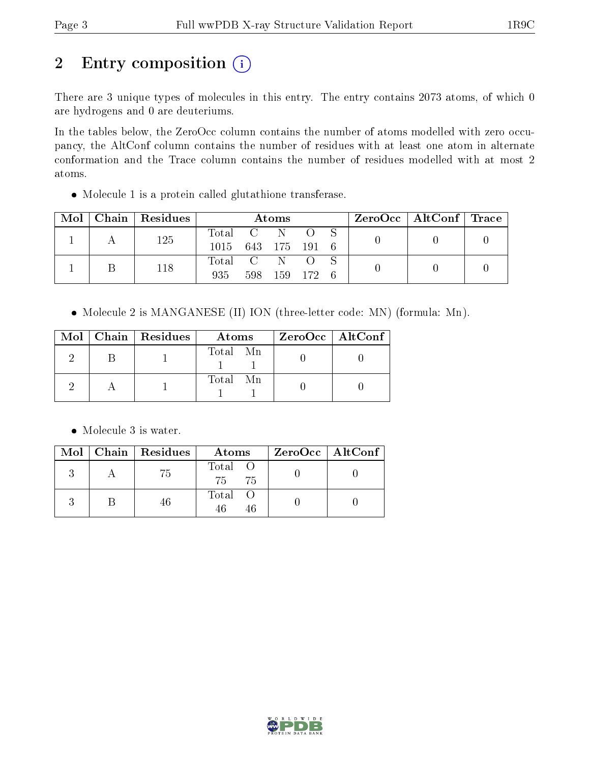# 2 Entry composition (i)

There are 3 unique types of molecules in this entry. The entry contains 2073 atoms, of which 0 are hydrogens and 0 are deuteriums.

In the tables below, the ZeroOcc column contains the number of atoms modelled with zero occupancy, the AltConf column contains the number of residues with at least one atom in alternate conformation and the Trace column contains the number of residues modelled with at most 2 atoms.

Molecule 1 is a protein called glutathione transferase.

| Mol |  | Chain   Residues | Atoms              |     |     |         | ZeroOcc   AltConf   Trace |  |  |  |
|-----|--|------------------|--------------------|-----|-----|---------|---------------------------|--|--|--|
|     |  | 125              | Total C N          |     |     |         |                           |  |  |  |
|     |  |                  | 1015 643 175 191 6 |     |     |         |                           |  |  |  |
|     |  | 118              | Total C N          |     |     |         |                           |  |  |  |
|     |  |                  | 935                | 598 | 159 | - 172 6 |                           |  |  |  |

• Molecule 2 is MANGANESE (II) ION (three-letter code: MN) (formula: Mn).

|  | $Mol$   Chain   Residues | Atoms    | ZeroOcc   AltConf |
|--|--------------------------|----------|-------------------|
|  |                          | Total Mn |                   |
|  |                          | Total Mn |                   |

• Molecule 3 is water.

|  | $Mol$   Chain   Residues | Atoms            | $\rm ZeroOcc \mid AltConf \mid$ |
|--|--------------------------|------------------|---------------------------------|
|  | (5)                      | Total O<br>75 75 |                                 |
|  |                          | Total O<br>46    |                                 |

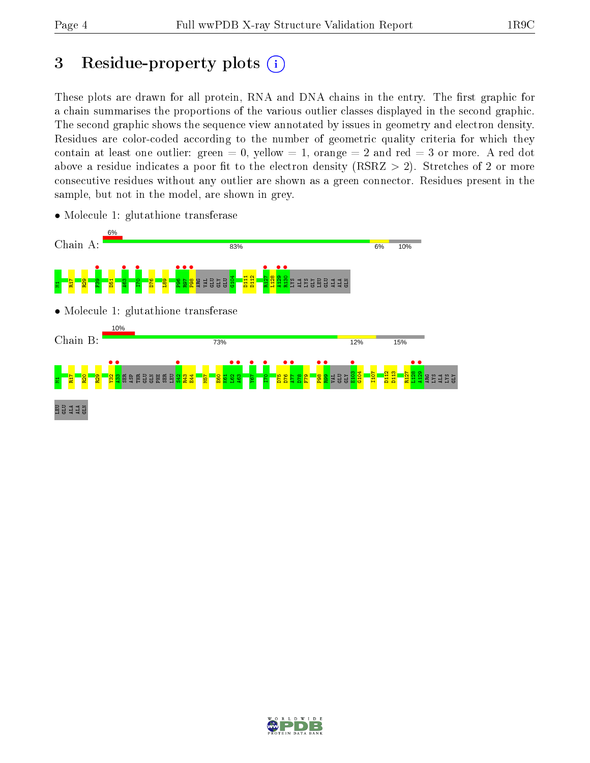## 3 Residue-property plots  $(i)$

These plots are drawn for all protein, RNA and DNA chains in the entry. The first graphic for a chain summarises the proportions of the various outlier classes displayed in the second graphic. The second graphic shows the sequence view annotated by issues in geometry and electron density. Residues are color-coded according to the number of geometric quality criteria for which they contain at least one outlier: green  $= 0$ , yellow  $= 1$ , orange  $= 2$  and red  $= 3$  or more. A red dot above a residue indicates a poor fit to the electron density (RSRZ  $> 2$ ). Stretches of 2 or more consecutive residues without any outlier are shown as a green connector. Residues present in the sample, but not in the model, are shown in grey.



• Molecule 1: glutathione transferase

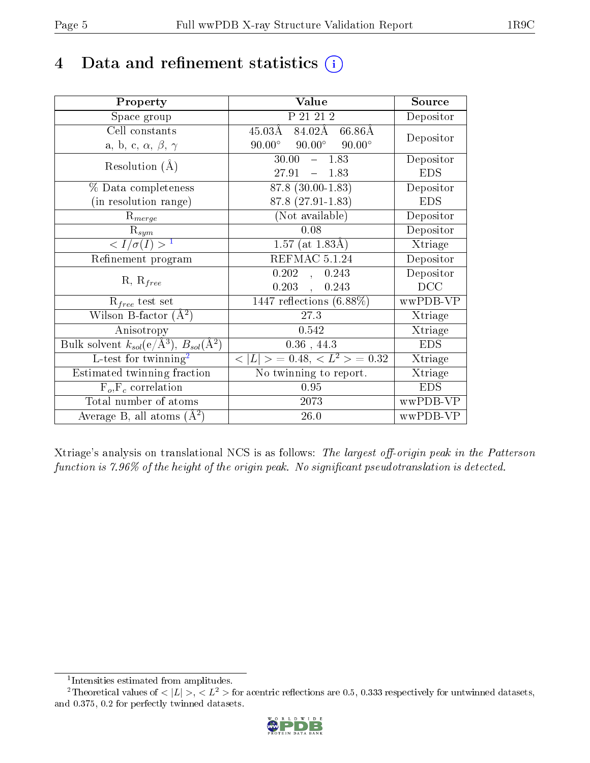## 4 Data and refinement statistics  $(i)$

| Property                                                                 | Value                                                   | Source     |
|--------------------------------------------------------------------------|---------------------------------------------------------|------------|
| Space group                                                              | P 21 21 2                                               | Depositor  |
| Cell constants                                                           | $84.02\text{\AA}$<br>$45.03\rm\AA$<br>$66.86\text{\AA}$ |            |
| a, b, c, $\alpha$ , $\beta$ , $\gamma$                                   | $90.00^\circ$<br>$90.00^\circ$<br>$90.00^\circ$         | Depositor  |
| Resolution $(A)$                                                         | 30.00<br>$-1.83$                                        | Depositor  |
|                                                                          | 27.91<br>1.83<br>$\frac{1}{2}$                          | <b>EDS</b> |
| $%$ Data completeness                                                    | 87.8 (30.00-1.83)                                       | Depositor  |
| (in resolution range)                                                    | 87.8 (27.91-1.83)                                       | <b>EDS</b> |
| $R_{merge}$                                                              | (Not available)                                         | Depositor  |
| $\mathrm{R}_{sym}$                                                       | 0.08                                                    | Depositor  |
| $\langle I/\sigma(I) \rangle^{-1}$                                       | $1.57$ (at $1.83\text{\AA}$ )                           | Xtriage    |
| Refinement program                                                       | REFMAC 5.1.24                                           | Depositor  |
| $R, R_{free}$                                                            | 0.202<br>0.243<br>$\overline{\phantom{a}}$              | Depositor  |
|                                                                          | 0.203<br>0.243<br>$\ddot{\phantom{a}}$                  | DCC        |
| $\mathcal{R}_{free}$ test set                                            | $1447$ reflections $(6.88\%)$                           | wwPDB-VP   |
| Wilson B-factor $(A^2)$                                                  | 27.3                                                    | Xtriage    |
| Anisotropy                                                               | 0.542                                                   | Xtriage    |
| Bulk solvent $k_{sol}(\mathrm{e}/\mathrm{A}^3),$ $B_{sol}(\mathrm{A}^2)$ | $0.36$ , 44.3                                           | <b>EDS</b> |
| L-test for twinning <sup>2</sup>                                         | $< L >$ = 0.48, $< L^2 >$ = 0.32                        | Xtriage    |
| Estimated twinning fraction                                              | $\overline{\text{No}}$ twinning to report.              | Xtriage    |
| $F_o, F_c$ correlation                                                   | 0.95                                                    | <b>EDS</b> |
| Total number of atoms                                                    | 2073                                                    | wwPDB-VP   |
| Average B, all atoms $(A^2)$                                             | 26.0                                                    | wwPDB-VP   |

Xtriage's analysis on translational NCS is as follows: The largest off-origin peak in the Patterson function is  $7.96\%$  of the height of the origin peak. No significant pseudotranslation is detected.

<sup>&</sup>lt;sup>2</sup>Theoretical values of  $\langle |L| \rangle$ ,  $\langle L^2 \rangle$  for acentric reflections are 0.5, 0.333 respectively for untwinned datasets, and 0.375, 0.2 for perfectly twinned datasets.



<span id="page-4-1"></span><span id="page-4-0"></span><sup>1</sup> Intensities estimated from amplitudes.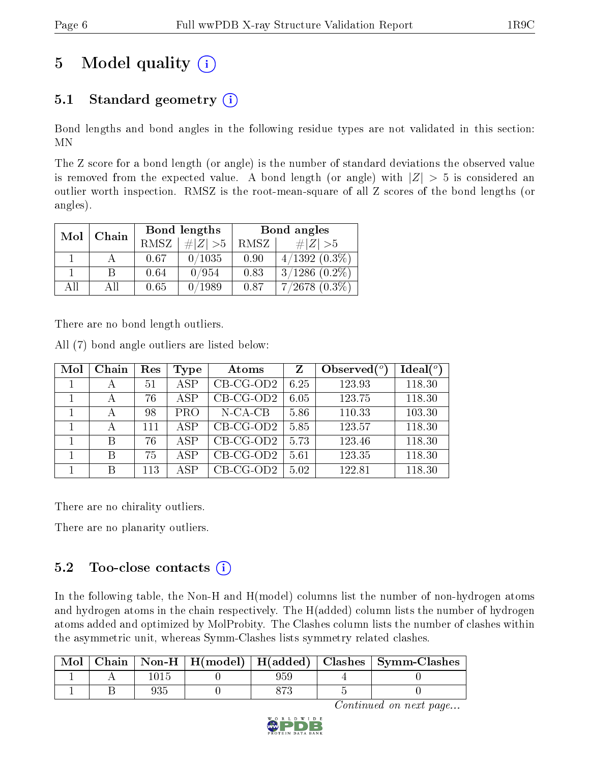# 5 Model quality  $(i)$

## 5.1 Standard geometry  $(i)$

Bond lengths and bond angles in the following residue types are not validated in this section: MN

The Z score for a bond length (or angle) is the number of standard deviations the observed value is removed from the expected value. A bond length (or angle) with  $|Z| > 5$  is considered an outlier worth inspection. RMSZ is the root-mean-square of all Z scores of the bond lengths (or angles).

| Mol | Chain |             | Bond lengths | Bond angles |                    |  |
|-----|-------|-------------|--------------|-------------|--------------------|--|
|     |       | <b>RMSZ</b> | $\ Z\  > 5$  | RMSZ        | $\# Z  > 5$        |  |
|     |       | 0.67        | 0/1035       | 0.90        | $4/1392(0.3\%)$    |  |
|     | B     | 0.64        | 0/954        | 0.83        | $3/1286$ $(0.2\%)$ |  |
| AĦ  | АH    | 0.65        | 0/1989       | 0.87        | $7/2678$ $(0.3\%)$ |  |

There are no bond length outliers.

All (7) bond angle outliers are listed below:

| Mol | Chain | Res | Type       | Atoms       | Ζ    | Observed $(°)$ | Ideal $(°)$ |
|-----|-------|-----|------------|-------------|------|----------------|-------------|
|     | А     | 51  | <b>ASP</b> | $CB-CG-OD2$ | 6.25 | 123.93         | 118.30      |
|     | А     | 76  | ASP        | $CB-CG-OD2$ | 6.05 | 123.75         | 118.30      |
|     |       | 98  | <b>PRO</b> | $N$ -CA-CB  | 5.86 | 110.33         | 103.30      |
|     | А     | 111 | ASP        | $CB-CG-OD2$ | 5.85 | 123.57         | 118.30      |
|     | B     | 76  | ASP        | $CB-CG-OD2$ | 5.73 | 123.46         | 118.30      |
|     | B     | 75  | ASP        | $CB-CG-OD2$ | 5.61 | 123.35         | 118.30      |
|     | В     | 113 | A SP       | $CB-CG-OD2$ | 5.02 | 122.81         | 118.30      |

There are no chirality outliers.

There are no planarity outliers.

## 5.2 Too-close contacts  $\overline{()}$

In the following table, the Non-H and H(model) columns list the number of non-hydrogen atoms and hydrogen atoms in the chain respectively. The H(added) column lists the number of hydrogen atoms added and optimized by MolProbity. The Clashes column lists the number of clashes within the asymmetric unit, whereas Symm-Clashes lists symmetry related clashes.

| Mol |  |  | Chain   Non-H   H(model)   H(added)   Clashes   Symm-Clashes |
|-----|--|--|--------------------------------------------------------------|
|     |  |  |                                                              |
|     |  |  |                                                              |

Continued on next page...

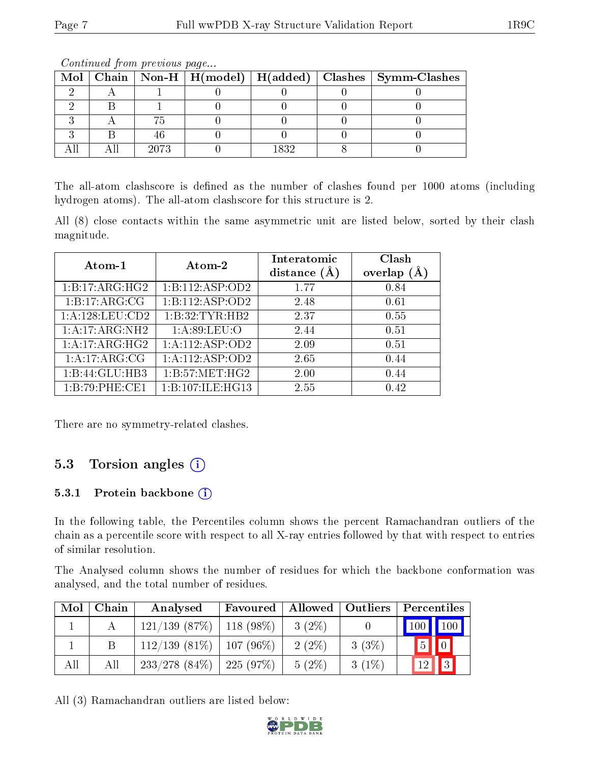|  |      |      | Mol   Chain   Non-H   H(model)   H(added)   Clashes   Symm-Clashes |
|--|------|------|--------------------------------------------------------------------|
|  |      |      |                                                                    |
|  |      |      |                                                                    |
|  |      |      |                                                                    |
|  |      |      |                                                                    |
|  | 2073 | 1839 |                                                                    |

Continued from previous page...

The all-atom clashscore is defined as the number of clashes found per 1000 atoms (including hydrogen atoms). The all-atom clashscore for this structure is 2.

All (8) close contacts within the same asymmetric unit are listed below, sorted by their clash magnitude.

| Atom-1          | Atom-2           | Interatomic<br>distance $(A)$ | Clash<br>overlap |
|-----------------|------------------|-------------------------------|------------------|
| 1:B:17:ARG:HG2  | 1:B:112:ASP:OD2  | 1.77                          | 0.84             |
| 1:B:17:ARG:CG   | 1:B:112:ASP:OD2  | 2.48                          | 0.61             |
| 1:A:128:LEU:CD2 | 1:B:32:TYR:HB2   | 2.37                          | 0.55             |
| 1:A:17:ARG:NH2  | 1: A:89: LEU:O   | 2.44                          | 0.51             |
| 1:A:17:ARG:HG2  | 1:A:112:ASP:OD2  | 2.09                          | 0.51             |
| 1:A:17:ARG:CG   | 1:A:112:ASP:OD2  | 2.65                          | 0.44             |
| 1:B:44:GLU:HB3  | 1: B:57: MET:HG2 | 2.00                          | 0.44             |
| 1:B:79:PHE:CE1  | 1:B:107:ILE:HG13 | 2.55                          | 0.42             |

There are no symmetry-related clashes.

## 5.3 Torsion angles (i)

#### 5.3.1 Protein backbone (i)

In the following table, the Percentiles column shows the percent Ramachandran outliers of the chain as a percentile score with respect to all X-ray entries followed by that with respect to entries of similar resolution.

The Analysed column shows the number of residues for which the backbone conformation was analysed, and the total number of residues.

| Mol | Chain | Analysed                          | Favoured    |          | Allowed   Outliers | $\perp$ Percentiles $\perp$ |
|-----|-------|-----------------------------------|-------------|----------|--------------------|-----------------------------|
|     |       | $121/139$ (87\%)   118 (98\%)     |             | $3(2\%)$ |                    | 100 100                     |
|     |       | $112/139(81\%)$                   | $107(96\%)$ | $2(2\%)$ | 3(3%)              | $\boxed{0}$<br>$\boxed{5}$  |
| All | All   | $233/278$ $(84\%)$   225 $(97\%)$ |             | $5(2\%)$ | $3(1\%)$           | $\vert \mathbf{a} \vert$    |

All (3) Ramachandran outliers are listed below:

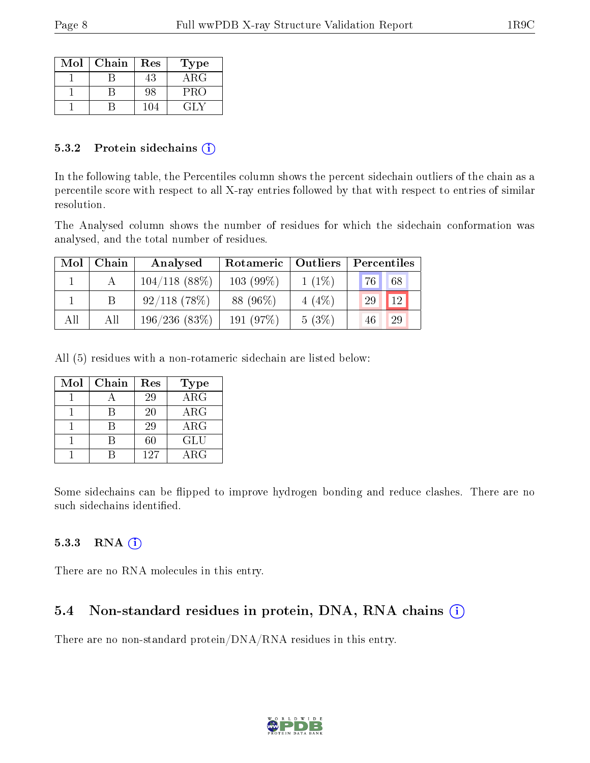| Mol | Chain | Res | Type       |
|-----|-------|-----|------------|
|     |       | 43  | $\rm{ARG}$ |
|     |       | 98  | PRO        |
|     |       | 104 | ( LI V     |

#### 5.3.2 Protein sidechains  $(i)$

In the following table, the Percentiles column shows the percent sidechain outliers of the chain as a percentile score with respect to all X-ray entries followed by that with respect to entries of similar resolution.

The Analysed column shows the number of residues for which the sidechain conformation was analysed, and the total number of residues.

| Mol | Chain | Analysed         | Rotameric   Outliers |          | Percentiles |  |
|-----|-------|------------------|----------------------|----------|-------------|--|
|     |       | $104/118$ (88\%) | $103(99\%)$          | $1(1\%)$ | 68<br> 76   |  |
|     |       | $92/118$ (78\%)  | 88 (96\%)            | $4(4\%)$ | 12<br>29    |  |
| All | All   | 196/236(83%)     | 191 $(97%)$          | 5(3%)    | 29<br>46    |  |

All (5) residues with a non-rotameric sidechain are listed below:

| Mol | Chain | Res | Type       |
|-----|-------|-----|------------|
|     |       | 29  | $\rm{ARG}$ |
|     |       | 20  | $\rm{ARG}$ |
|     |       | 29  | $\rm{ARG}$ |
|     |       | 60  | GLU        |
|     |       | 127 | $\rm{ARG}$ |

Some sidechains can be flipped to improve hydrogen bonding and reduce clashes. There are no such sidechains identified.

#### 5.3.3 RNA (i)

There are no RNA molecules in this entry.

## 5.4 Non-standard residues in protein, DNA, RNA chains (i)

There are no non-standard protein/DNA/RNA residues in this entry.

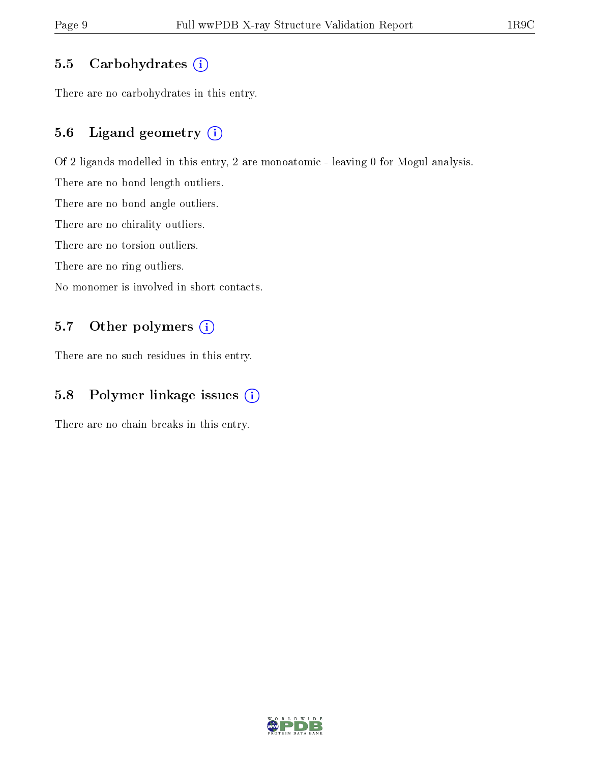### 5.5 Carbohydrates  $(i)$

There are no carbohydrates in this entry.

### 5.6 Ligand geometry (i)

Of 2 ligands modelled in this entry, 2 are monoatomic - leaving 0 for Mogul analysis.

There are no bond length outliers.

There are no bond angle outliers.

There are no chirality outliers.

There are no torsion outliers.

There are no ring outliers.

No monomer is involved in short contacts.

### 5.7 [O](https://www.wwpdb.org/validation/2017/XrayValidationReportHelp#nonstandard_residues_and_ligands)ther polymers (i)

There are no such residues in this entry.

### 5.8 Polymer linkage issues  $(i)$

There are no chain breaks in this entry.

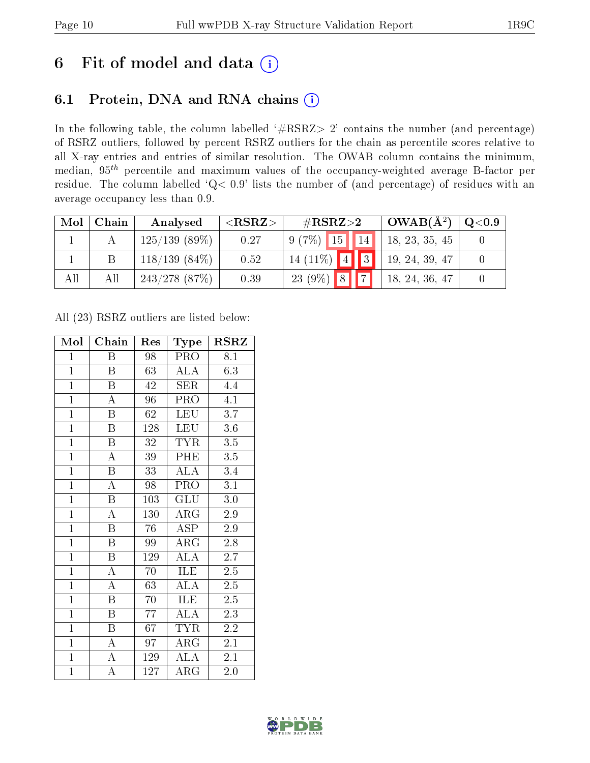## 6 Fit of model and data  $(i)$

## 6.1 Protein, DNA and RNA chains  $(i)$

In the following table, the column labelled  $#RSRZ> 2'$  contains the number (and percentage) of RSRZ outliers, followed by percent RSRZ outliers for the chain as percentile scores relative to all X-ray entries and entries of similar resolution. The OWAB column contains the minimum, median,  $95<sup>th</sup>$  percentile and maximum values of the occupancy-weighted average B-factor per residue. The column labelled ' $Q< 0.9$ ' lists the number of (and percentage) of residues with an average occupancy less than 0.9.

| Mol | Chain | Analysed         | ${ <\hspace{-1.5pt}{\mathrm{RSRZ}} \hspace{-1.5pt}>}$ | $\#\text{RSRZ}{>}2$                      | $OWAB(A^2)$    | $\rm Q\textcolor{black}{<}0.9$ |
|-----|-------|------------------|-------------------------------------------------------|------------------------------------------|----------------|--------------------------------|
|     |       | $125/139$ (89\%) | 0.27                                                  | $9(7\%)$<br>15                           | 18, 23, 35, 45 |                                |
|     |       | $118/139(84\%)$  | 0.52                                                  | $\P_3$<br>14 $(11\%)$<br>$\vert 4 \vert$ | 19, 24, 39, 47 |                                |
| All | All   | $243/278$ (87%)  | 0.39                                                  | $\rightarrow$<br> 8 <br>23 $(9\%)$       | 18, 24, 36, 47 |                                |

All (23) RSRZ outliers are listed below:

| Mol            | Chain                   | Res             | Type                 | <b>RSRZ</b>      |
|----------------|-------------------------|-----------------|----------------------|------------------|
| $\mathbf{1}$   | Β                       | 98              | PRO                  | 8.1              |
| $\mathbf{1}$   | $\overline{\mathrm{B}}$ | 63              | <b>ALA</b>           | 6.3              |
| $\mathbf{1}$   | B                       | 42              | <b>SER</b>           | 4.4              |
| $\overline{1}$ | $\overline{\rm A}$      | 96              | PRO                  | $\overline{4.1}$ |
| $\overline{1}$ | $\overline{\mathrm{B}}$ | $\overline{62}$ | <b>LEU</b>           | $\overline{3.7}$ |
| $\mathbf{1}$   | $\overline{B}$          | 128             | <b>LEU</b>           | 3.6              |
| $\overline{1}$ | $\boldsymbol{B}$        | $3\sqrt{2}$     | <b>TYR</b>           | 3.5              |
| $\overline{1}$ | $\overline{\rm A}$      | 39              | PHE                  | $\overline{3.5}$ |
| $\overline{1}$ | $\overline{\mathrm{B}}$ | 33              | $AL\overline{A}$     | 3.4              |
| $\overline{1}$ | $\overline{\rm A}$      | 98              | $\overline{P}RO$     | $\overline{3.1}$ |
| $\overline{1}$ | $\, {\bf B}$            | 103             | <b>GLU</b>           | 3.0              |
| $\overline{1}$ | $\overline{\rm A}$      | 130             | $\rm{ARG}$           | 2.9              |
| $\mathbf{1}$   | $\overline{B}$          | 76              | <b>ASP</b>           | 2.9              |
| $\overline{1}$ | B                       | 99              | $\rm{ARG}$           | 2.8              |
| $\overline{1}$ | $\overline{\mathrm{B}}$ | 129             | $\overline{ALA}$     | $\overline{2.7}$ |
| $\overline{1}$ | A                       | 70              | ILE                  | $2.5\,$          |
| $\overline{1}$ | $\overline{\rm A}$      | $\overline{63}$ | $\overline{\rm ALA}$ | $\overline{2.5}$ |
| $\mathbf{1}$   | $\boldsymbol{B}$        | 70              | ILE                  | $2.5\,$          |
| $\overline{1}$ | $\overline{B}$          | 77              | $\overline{\rm ALA}$ | 2.3              |
| $\overline{1}$ | $\overline{\mathbf{B}}$ | 67              | <b>TYR</b>           | 2.2              |
| $\overline{1}$ | $\overline{\rm A}$      | 97              | $\rm{ARG}$           | 2.1              |
| $\overline{1}$ | $\overline{\rm A}$      | 129             | $\overline{\rm ALA}$ | 2.1              |
| $\overline{1}$ | $\overline{\rm A}$      | 127             | ${\rm ARG}$          | 2.0              |